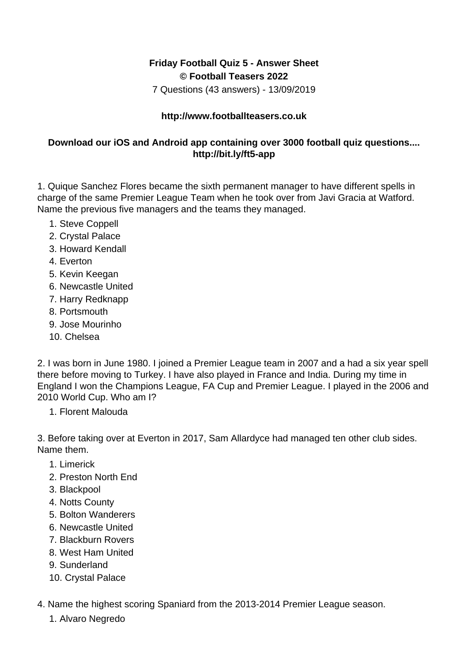## **Friday Football Quiz 5 - Answer Sheet © Football Teasers 2022**

7 Questions (43 answers) - 13/09/2019

## **http://www.footballteasers.co.uk**

## **Download our iOS and Android app containing over 3000 football quiz questions.... http://bit.ly/ft5-app**

1. Quique Sanchez Flores became the sixth permanent manager to have different spells in charge of the same Premier League Team when he took over from Javi Gracia at Watford. Name the previous five managers and the teams they managed.

- 1. Steve Coppell
- 2. Crystal Palace
- 3. Howard Kendall
- 4. Everton
- 5. Kevin Keegan
- 6. Newcastle United
- 7. Harry Redknapp
- 8. Portsmouth
- 9. Jose Mourinho
- 10. Chelsea

2. I was born in June 1980. I joined a Premier League team in 2007 and a had a six year spell there before moving to Turkey. I have also played in France and India. During my time in England I won the Champions League, FA Cup and Premier League. I played in the 2006 and 2010 World Cup. Who am I?

1. Florent Malouda

3. Before taking over at Everton in 2017, Sam Allardyce had managed ten other club sides. Name them.

- 1. Limerick
- 2. Preston North End
- 3. Blackpool
- 4. Notts County
- 5. Bolton Wanderers
- 6. Newcastle United
- 7. Blackburn Rovers
- 8. West Ham United
- 9. Sunderland
- 10. Crystal Palace

4. Name the highest scoring Spaniard from the 2013-2014 Premier League season.

1. Alvaro Negredo